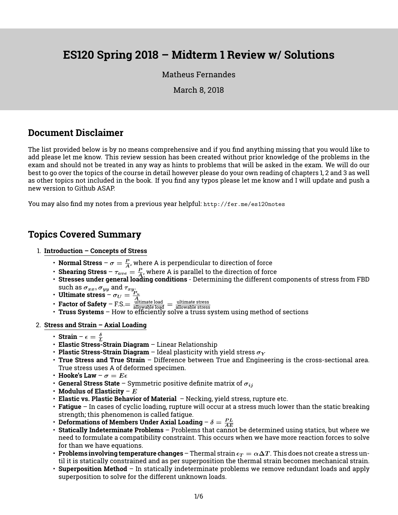# **ES120 Spring 2018 – Midterm 1 Review w/ Solutions**

### [Matheus Fernandes](http://fer.me)

March 8, 2018

### **Document Disclaimer**

The list provided below is by no means comprehensive and if you find anything missing that you would like to add please let me know. This review session has been created without prior knowledge of the problems in the exam and should not be treated in any way as hints to problems that will be asked in the exam. We will do our best to go over the topics of the course in detail however please do your own reading of chapters 1, 2 and 3 as well as other topics not included in the book. If you find any typos please let me know and I will update and push a new version to Github ASAP.

You may also find my notes from a previous year helpful: <http://fer.me/es120notes>

### **Topics Covered Summary**

- 1. **Introduction Concepts of Stress**
	- **Normal Stress**  $\sigma = \frac{P}{4}$ , where A is perpendicular to direction of force
	- **Shearing Stress**  $\tau_{ave} = \frac{P}{A}$ , where A is parallel to the direction of force
	- **Stresses under general loading conditions** Determining the different components of stress from FBD such as  $\sigma_{xx}, \sigma_{yy}$  and  $\tau_{xy}$ .
	-
	-
	- **Ultimate stress**  $\sigma_U = \frac{P_u}{A}$ <br>• **Factor of Safety** F.S. $= \frac{\text{ulimate load}}{\text{allowable load}} = \frac{\text{ultime stress}}{\text{allowable stress}}$  **Truss Systems** How to efficiently solve a truss system using method of sections
- 2. **Stress and Strain Axial Loading**
	- **Strain**  $\epsilon = \frac{\delta}{L}$
	- **Elastic Stress-Strain Diagram** Linear Relationship
	- **Plastic Stress-Strain Diagram** Ideal plasticity with yield stress  $\sigma_Y$
	- **True Stress and True Strain** Difference between True and Engineering is the cross-sectional area. True stress uses A of deformed specimen.
	- **Hooke's Law**  $\sigma = E \epsilon$
	- **General Stress State** Symmetric positive definite matrix of  $\sigma_{ij}$
	- **Modulus of Elasticity** E
	- **Elastic vs. Plastic Behavior of Material** Necking, yield stress, rupture etc.
	- **Fatigue** In cases of cyclic loading, rupture will occur at a stress much lower than the static breaking strength; this phenomenon is called fatigue.
	- Deformations of Members Under Axial Loading  $\delta = \frac{PL}{AE}$
	- **Statically Indeterminate Problems** Problems that cannot be determined using statics, but where we need to formulate a compatibility constraint. This occurs when we have more reaction forces to solve for than we have equations.
	- $\bm{\cdot}\,$  **Problems involving temperature changes** Thermal strain  $\epsilon_T = \alpha \Delta T$  . This does not create a stress until it is statically constrained and as per superposition the thermal strain becomes mechanical strain.
	- **Superposition Method** In statically indeterminate problems we remove redundant loads and apply superposition to solve for the different unknown loads.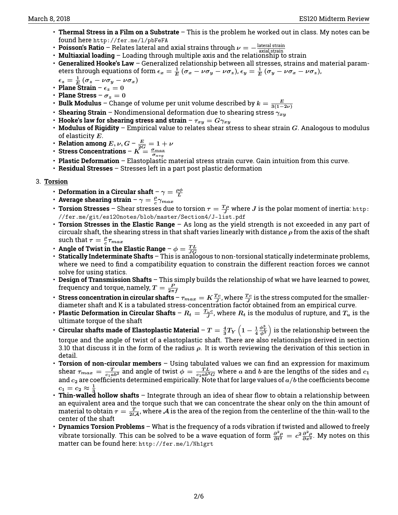- **Thermal Stress in a Film on a Substrate** This is the problem he worked out in class. My notes can be found here <http://fer.me/l/pbFeFA>
- **Poisson's Ratio** Relates lateral and axial strains through  $\nu = -\frac{\text{lateral strain}}{\text{axial strain}}$
- **Multiaxial loading** Loading through multiple axis and the relationship to strain<br>• **Multiaxial loading** Loading through multiple axis and the relationship to strain
- **Generalized Hooke's Law** Generalized relationship between all stresses, strains and material parameters through equations of form  $\epsilon_x=\frac{1}{E}\,(\sigma_x-\nu\sigma_y-\nu\sigma_z)$ ,  $\epsilon_y=\frac{1}{E}\,(\sigma_y-\nu\sigma_x-\nu\sigma_z)$ ,

$$
\epsilon_z = \frac{1}{E} (\sigma_z - \nu \sigma_y - \nu \sigma_x)
$$

- **Plane Strain**  $\epsilon_z = 0$
- **Plane Stress**  $\sigma_z = 0$
- **Bulk Modulus** Change of volume per unit volume described by  $k = \frac{E}{3(1-2\nu)}$
- **Shearing Strain** Nondimensional deformation due to shearing stress  $\gamma_{xy}$
- $\cdot$  Hooke's law for shearing stress and strain  $\tau_{xy}=G\gamma_{xy}$
- $\cdot$  **Modulus of Rigidity** Empirical value to relates shear stress to shear strain  $G$ . Analogous to modulus of elasticity  $E$ .
- Relation among  $E, \nu, G$   $\frac{E}{2G} = 1 + \nu$
- Stress Concentrations  $\textit{K} = \frac{\sigma_{max}}{\sigma_{avg}}$
- **Plastic Deformation** Elastoplastic material stress strain curve. Gain intuition from this curve.
- **Residual Stresses** Stresses left in a part post plastic deformation
- 3. **Torsion**
	- Deformation in a Circular shaft  $\gamma = \frac{\rho \phi}{L}$
	- Average shearing strain  $\gamma = \frac{\rho}{c} \gamma_{max}$
	- **Torsion Stresses** Shear stresses due to torsion  $\tau = \frac{T\rho}{J}$  where  $J$  is the polar moment of inertia: <code>[http:](http://fer.me/git/es120notes/blob/master/Section4/J-list.pdf)</code> [//fer.me/git/es120notes/blob/master/Section4/J-list.pdf](http://fer.me/git/es120notes/blob/master/Section4/J-list.pdf)
	- **Torsion Stresses in the Elastic Range** As long as the yield strength is not exceeded in any part of circualr shaft, the shearing stress in that shaft varies linearly with distance  $\rho$  from the axis of the shaft such that  $\tau = \frac{\rho}{c} \tau_{max}$
	-
	- **Angle of Twist in the Elastic Range**  $\phi = \frac{TL}{JG}$ <br>• **Statically Indeterminate Shafts** This is analogous to non-torsional statically indeterminate problems, where we need to find a compatibility equation to constrain the different reaction forces we cannot solve for using statics.
	- **Design of Transmission Shafts** This simply builds the relationship of what we have learned to power, frequency and torque, namely,  $T=\frac{P}{2\pi f}$
	- **Stress concentration in circular shafts**  $\tau_{max} = K \frac{Tc}{J}$ , where  $\frac{Tc}{J}$  is the stress computed for the smallerdiameter shaft and K is a tabulated stress-concentration factor obtained from an empirical curve.
	- **Plastic Deformation in Circular Shafts**  $R_t = \frac{T_u c}{J}$ , where  $R_t$  is the modulus of rupture, and  $T_u$  is the ultimate torque of the shaft
	- Circular shafts made of Elastoplastic Material  $T=\frac{4}{3}T_Y\left(1-\frac{1}{4}\right)$  $\left(\frac{\phi_Y^3}{\phi^3}\right)$  is the relationship between the torque and the angle of twist of a elastoplastic shaft. There are also relationships derived in section 3.10 that discuss it in the form of the radius  $\rho$ . It is worth reviewing the derivation of this section in detail.
	- **Torsion of non-circular members** Using tabulated values we can find an expression for maximum shear  $\tau_{max}=\frac{T}{c_1ab^2}$  and angle of twist  $\phi=\frac{TL}{c_2ab^3G}$  where  $a$  and  $b$  are the lengths of the sides and  $c_1$ and  $c_2$  are coefficients determined empirically. Note that for large values of  $a/b$  the coefficients become  $c_1 = c_2 \approx \frac{1}{3}$
	- **Thin-walled hollow shafts** Integrate through an idea of shear flow to obtain a relationship between an equivalent area and the torque such that we can concentrate the shear only on the thin amount of material to obtain  $\tau=\frac{T}{2t{\cal A}}$ , where  ${\cal A}$  is the area of the region from the centerline of the thin-wall to the center of the shaft
	- **Dynamics Torsion Problems** What is the frequency of a rods vibration if twisted and allowed to freely vibrate torsionally. This can be solved to be a wave equation of form  $\frac{\partial^2 \rho}{\partial t^2} = c^2 \frac{\partial^2 \rho}{\partial x^2}$ . My notes on this matter can be found here: <http://fer.me/l/Nh1grt>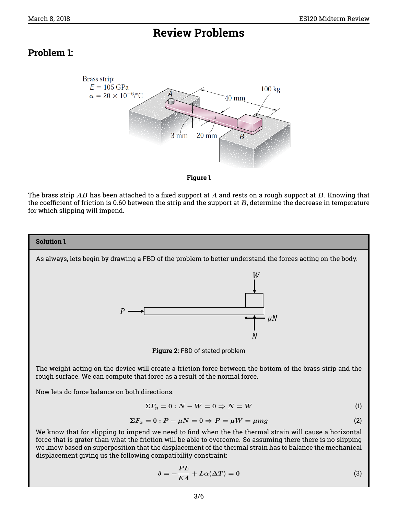# **Review Problems**

## **Problem 1:**



#### **Figure 1**

The brass strip  $AB$  has been attached to a fixed support at  $A$  and rests on a rough support at  $B$ . Knowing that the coefficient of friction is 0.60 between the strip and the support at  $B$ , determine the decrease in temperature for which slipping will impend.



We know that for slipping to impend we need to find when the the thermal strain will cause a horizontal force that is grater than what the friction will be able to overcome. So assuming there there is no slipping we know based on superposition that the displacement of the thermal strain has to balance the mechanical displacement giving us the following compatibility constraint:

$$
\delta = -\frac{PL}{EA} + L\alpha(\Delta T) = 0
$$
\n(3)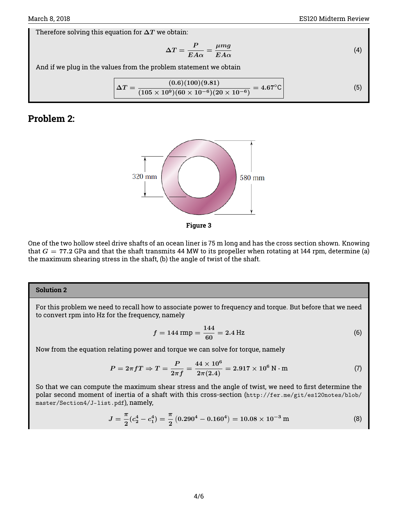Therefore solving this equation for  $\Delta T$  we obtain:

$$
\Delta T = \frac{P}{E A \alpha} = \frac{\mu mg}{E A \alpha} \tag{4}
$$

And if we plug in the values from the problem statement we obtain

$$
\boxed{\Delta T = \frac{(0.6)(100)(9.81)}{(105 \times 10^9)(60 \times 10^{-6})(20 \times 10^{-6})} = 4.67^{\circ}\text{C}}
$$
\n(5)

### **Problem 2:**



**Figure 3**

One of the two hollow steel drive shafts of an ocean liner is 75 m long and has the cross section shown. Knowing that  $G = 77.2$  GPa and that the shaft transmits 44 MW to its propeller when rotating at 144 rpm, determine (a) the maximum shearing stress in the shaft, (b) the angle of twist of the shaft.

### **Solution 2**

For this problem we need to recall how to associate power to frequency and torque. But before that we need to convert rpm into Hz for the frequency, namely

$$
f = 144 \text{ rmp} = \frac{144}{60} = 2.4 \text{ Hz}
$$
 (6)

Now from the equation relating power and torque we can solve for torque, namely

$$
P = 2\pi fT \Rightarrow T = \frac{P}{2\pi f} = \frac{44 \times 10^6}{2\pi (2.4)} = 2.917 \times 10^6 \,\text{N} \cdot \text{m} \tag{7}
$$

So that we can compute the maximum shear stress and the angle of twist, we need to first determine the polar second moment of inertia of a shaft with this cross-section ([http://fer.me/git/es120notes/blob/](http://fer.me/git/es120notes/blob/master/Section4/J-list.pdf) [master/Section4/J-list.pdf](http://fer.me/git/es120notes/blob/master/Section4/J-list.pdf)), namely,

$$
J = \frac{\pi}{2} (c_2^4 - c_1^4) = \frac{\pi}{2} (0.290^4 - 0.160^4) = 10.08 \times 10^{-3} \,\mathrm{m} \tag{8}
$$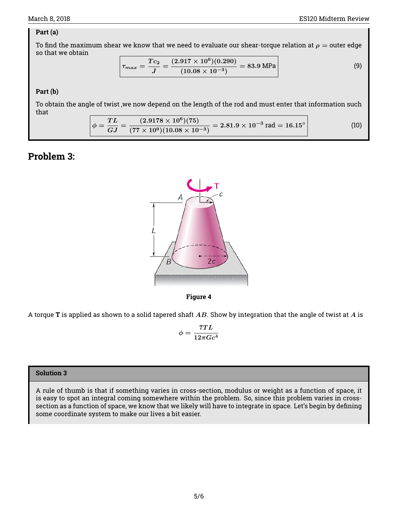### **Part (a)**

To find the maximum shear we know that we need to evaluate our shear-torque relation at  $\rho =$  outer edge so that we obtain

$$
\boxed{\tau_{max} = \frac{Tc_2}{J} = \frac{(2.917 \times 10^6)(0.290)}{(10.08 \times 10^{-3})} = 83.9 \text{ MPa}}
$$
\n(9)

### **Part (b)**

To obtain the angle of twist ,we now depend on the length of the rod and must enter that information such that

$$
\phi = \frac{TL}{GJ} = \frac{(2.9178 \times 10^6)(75)}{(77 \times 10^9)(10.08 \times 10^{-3})} = 2.81.9 \times 10^{-3} \text{ rad} = 16.15^{\circ}
$$
\n(10)

## **Problem 3:**





A torque **T** is applied as shown to a solid tapered shaft AB. Show by integration that the angle of twist at A is

$$
\phi = \frac{7TL}{12\pi Gc^4}
$$

### **Solution 3**

A rule of thumb is that if something varies in cross-section, modulus or weight as a function of space, it is easy to spot an integral coming somewhere within the problem. So, since this problem varies in crosssection as a function of space, we know that we likely will have to integrate in space. Let's begin by defining some coordinate system to make our lives a bit easier.